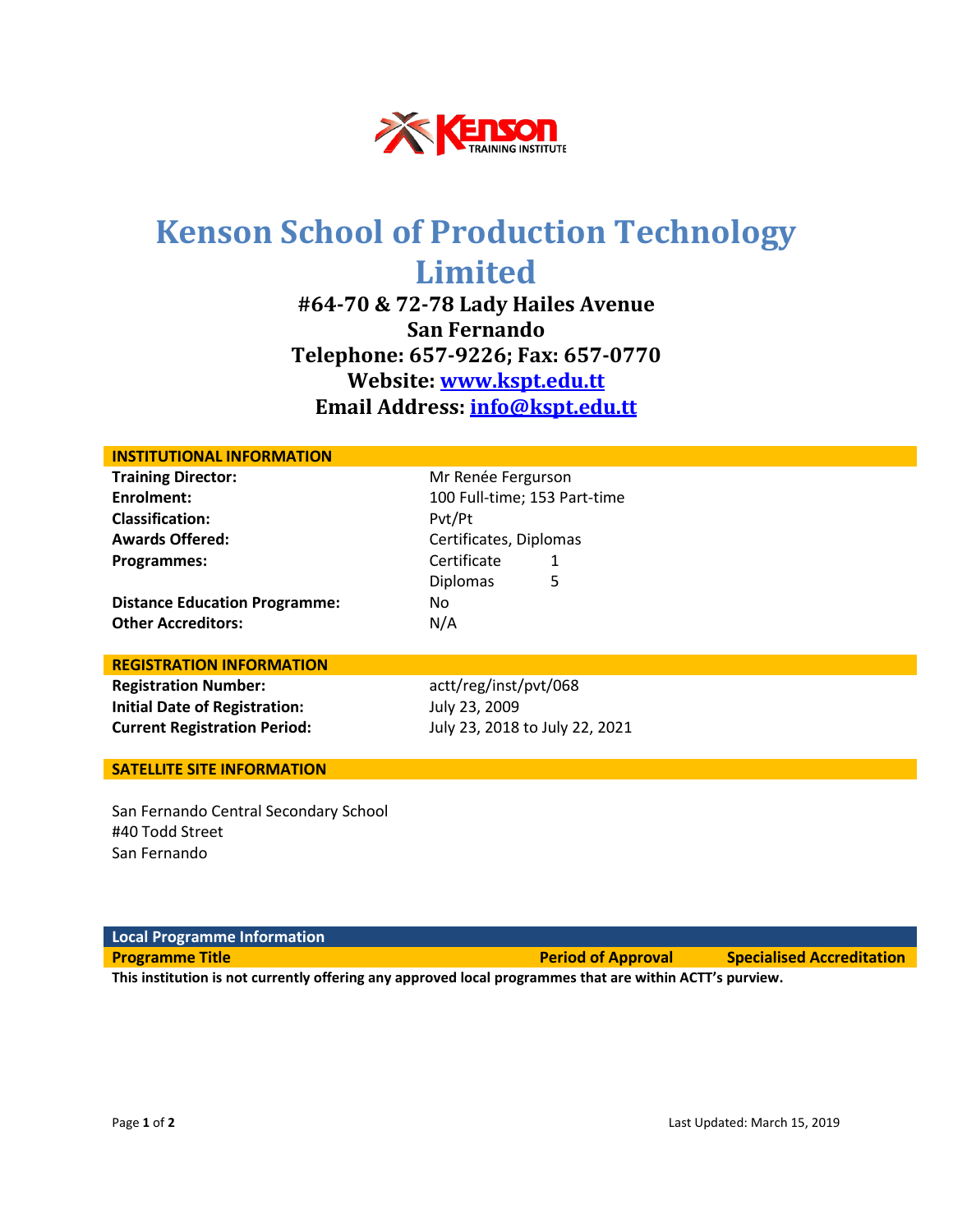

# **Kenson School of Production Technology Limited**

**#64-70 & 72-78 Lady Hailes Avenue San Fernando Telephone: 657-9226; Fax: 657-0770 Website: [www.kspt.edu.tt](http://www.kspt.edu.tt/) Email Address: [info@kspt.edu.tt](mailto:info@kspt.edu.tt)**

| <b>INSTITUTIONAL INFORMATION</b>      |                                |  |
|---------------------------------------|--------------------------------|--|
| <b>Training Director:</b>             | Mr Renée Fergurson             |  |
| Enrolment:                            | 100 Full-time; 153 Part-time   |  |
| <b>Classification:</b>                | Pvt/Pt                         |  |
| <b>Awards Offered:</b>                | Certificates, Diplomas         |  |
| Programmes:                           | Certificate<br>1               |  |
|                                       | 5<br><b>Diplomas</b>           |  |
| <b>Distance Education Programme:</b>  | No.                            |  |
| <b>Other Accreditors:</b>             | N/A                            |  |
|                                       |                                |  |
| <b>REGISTRATION INFORMATION</b>       |                                |  |
| <b>Registration Number:</b>           | actt/reg/inst/pvt/068          |  |
| <b>Initial Date of Registration:</b>  | July 23, 2009                  |  |
| <b>Current Registration Period:</b>   | July 23, 2018 to July 22, 2021 |  |
|                                       |                                |  |
| <b>SATELLITE SITE INFORMATION</b>     |                                |  |
|                                       |                                |  |
| San Fernando Central Secondary School |                                |  |
| #40 Todd Street                       |                                |  |
| San Fernando                          |                                |  |
|                                       |                                |  |
|                                       |                                |  |

| <b>Local Programme Information</b>                                                                       |                           |                                  |  |
|----------------------------------------------------------------------------------------------------------|---------------------------|----------------------------------|--|
| <b>Programme Title</b>                                                                                   | <b>Period of Approval</b> | <b>Specialised Accreditation</b> |  |
| This institution is not currently offering any approved local programmes that are within ACTT's purview. |                           |                                  |  |

Page **1** of **2** Last Updated: March 15, 2019